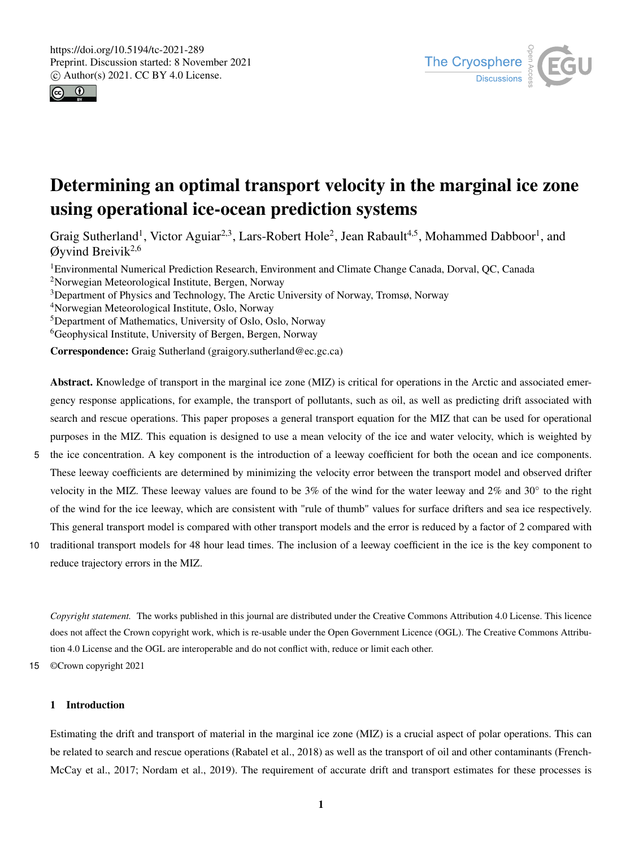



# Determining an optimal transport velocity in the marginal ice zone using operational ice-ocean prediction systems

Graig Sutherland<sup>1</sup>, Victor Aguiar<sup>2,3</sup>, Lars-Robert Hole<sup>2</sup>, Jean Rabault<sup>4,5</sup>, Mohammed Dabboor<sup>1</sup>, and  $Q$ yvind Breivik<sup>2,6</sup>

<sup>1</sup>Environmental Numerical Prediction Research, Environment and Climate Change Canada, Dorval, QC, Canada <sup>2</sup>Norwegian Meteorological Institute, Bergen, Norway

<sup>3</sup>Department of Physics and Technology, The Arctic University of Norway, Tromsø, Norway

<sup>4</sup>Norwegian Meteorological Institute, Oslo, Norway

<sup>5</sup>Department of Mathematics, University of Oslo, Oslo, Norway

<sup>6</sup>Geophysical Institute, University of Bergen, Bergen, Norway

Correspondence: Graig Sutherland (graigory.sutherland@ec.gc.ca)

Abstract. Knowledge of transport in the marginal ice zone (MIZ) is critical for operations in the Arctic and associated emergency response applications, for example, the transport of pollutants, such as oil, as well as predicting drift associated with search and rescue operations. This paper proposes a general transport equation for the MIZ that can be used for operational purposes in the MIZ. This equation is designed to use a mean velocity of the ice and water velocity, which is weighted by

- 5 the ice concentration. A key component is the introduction of a leeway coefficient for both the ocean and ice components. These leeway coefficients are determined by minimizing the velocity error between the transport model and observed drifter velocity in the MIZ. These leeway values are found to be  $3\%$  of the wind for the water leeway and  $2\%$  and  $30\degree$  to the right of the wind for the ice leeway, which are consistent with "rule of thumb" values for surface drifters and sea ice respectively. This general transport model is compared with other transport models and the error is reduced by a factor of 2 compared with
- 10 traditional transport models for 48 hour lead times. The inclusion of a leeway coefficient in the ice is the key component to reduce trajectory errors in the MIZ.

*Copyright statement.* The works published in this journal are distributed under the Creative Commons Attribution 4.0 License. This licence does not affect the Crown copyright work, which is re-usable under the Open Government Licence (OGL). The Creative Commons Attribution 4.0 License and the OGL are interoperable and do not conflict with, reduce or limit each other.

15 ©Crown copyright 2021

# 1 Introduction

Estimating the drift and transport of material in the marginal ice zone (MIZ) is a crucial aspect of polar operations. This can be related to search and rescue operations (Rabatel et al., 2018) as well as the transport of oil and other contaminants (French-McCay et al., 2017; Nordam et al., 2019). The requirement of accurate drift and transport estimates for these processes is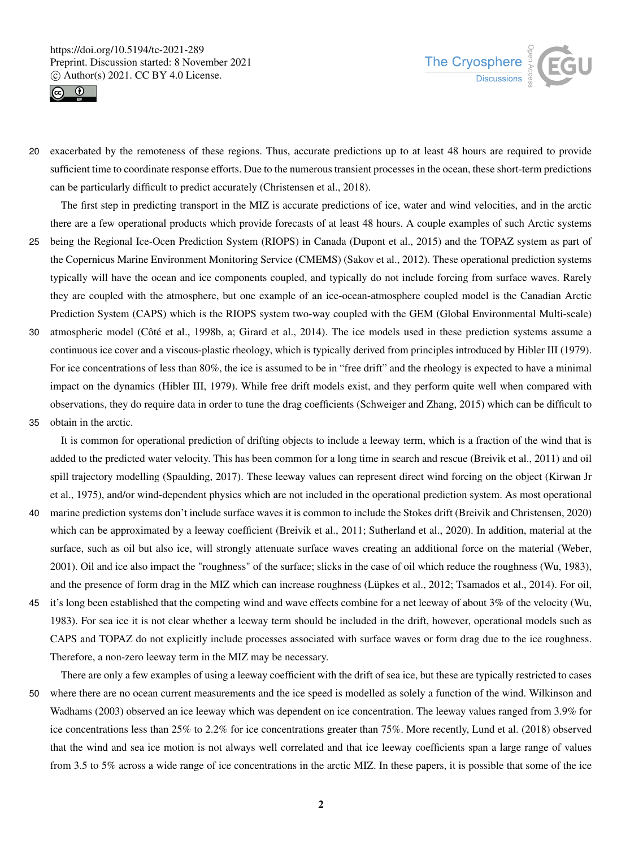



20 exacerbated by the remoteness of these regions. Thus, accurate predictions up to at least 48 hours are required to provide sufficient time to coordinate response efforts. Due to the numerous transient processes in the ocean, these short-term predictions can be particularly difficult to predict accurately (Christensen et al., 2018).

The first step in predicting transport in the MIZ is accurate predictions of ice, water and wind velocities, and in the arctic there are a few operational products which provide forecasts of at least 48 hours. A couple examples of such Arctic systems

- 25 being the Regional Ice-Ocen Prediction System (RIOPS) in Canada (Dupont et al., 2015) and the TOPAZ system as part of the Copernicus Marine Environment Monitoring Service (CMEMS) (Sakov et al., 2012). These operational prediction systems typically will have the ocean and ice components coupled, and typically do not include forcing from surface waves. Rarely they are coupled with the atmosphere, but one example of an ice-ocean-atmosphere coupled model is the Canadian Arctic Prediction System (CAPS) which is the RIOPS system two-way coupled with the GEM (Global Environmental Multi-scale)
- 30 atmospheric model (Côté et al., 1998b, a; Girard et al., 2014). The ice models used in these prediction systems assume a continuous ice cover and a viscous-plastic rheology, which is typically derived from principles introduced by Hibler III (1979). For ice concentrations of less than 80%, the ice is assumed to be in "free drift" and the rheology is expected to have a minimal impact on the dynamics (Hibler III, 1979). While free drift models exist, and they perform quite well when compared with observations, they do require data in order to tune the drag coefficients (Schweiger and Zhang, 2015) which can be difficult to
- 35 obtain in the arctic.

It is common for operational prediction of drifting objects to include a leeway term, which is a fraction of the wind that is added to the predicted water velocity. This has been common for a long time in search and rescue (Breivik et al., 2011) and oil spill trajectory modelling (Spaulding, 2017). These leeway values can represent direct wind forcing on the object (Kirwan Jr et al., 1975), and/or wind-dependent physics which are not included in the operational prediction system. As most operational

- 40 marine prediction systems don't include surface waves it is common to include the Stokes drift (Breivik and Christensen, 2020) which can be approximated by a leeway coefficient (Breivik et al., 2011; Sutherland et al., 2020). In addition, material at the surface, such as oil but also ice, will strongly attenuate surface waves creating an additional force on the material (Weber, 2001). Oil and ice also impact the "roughness" of the surface; slicks in the case of oil which reduce the roughness (Wu, 1983), and the presence of form drag in the MIZ which can increase roughness (Lüpkes et al., 2012; Tsamados et al., 2014). For oil,
- 45 it's long been established that the competing wind and wave effects combine for a net leeway of about 3% of the velocity (Wu, 1983). For sea ice it is not clear whether a leeway term should be included in the drift, however, operational models such as CAPS and TOPAZ do not explicitly include processes associated with surface waves or form drag due to the ice roughness. Therefore, a non-zero leeway term in the MIZ may be necessary.

There are only a few examples of using a leeway coefficient with the drift of sea ice, but these are typically restricted to cases

50 where there are no ocean current measurements and the ice speed is modelled as solely a function of the wind. Wilkinson and Wadhams (2003) observed an ice leeway which was dependent on ice concentration. The leeway values ranged from 3.9% for ice concentrations less than 25% to 2.2% for ice concentrations greater than 75%. More recently, Lund et al. (2018) observed that the wind and sea ice motion is not always well correlated and that ice leeway coefficients span a large range of values from 3.5 to 5% across a wide range of ice concentrations in the arctic MIZ. In these papers, it is possible that some of the ice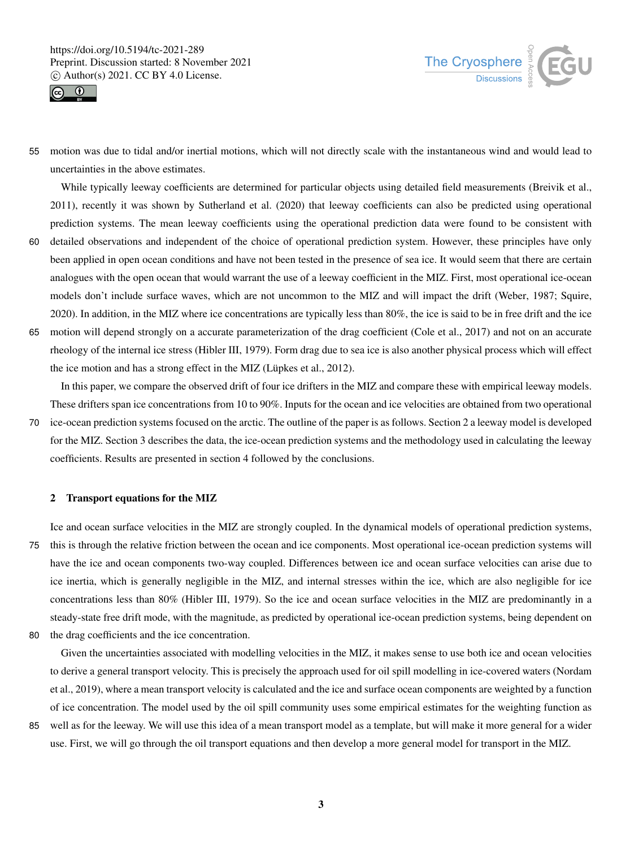



55 motion was due to tidal and/or inertial motions, which will not directly scale with the instantaneous wind and would lead to uncertainties in the above estimates.

While typically leeway coefficients are determined for particular objects using detailed field measurements (Breivik et al., 2011), recently it was shown by Sutherland et al. (2020) that leeway coefficients can also be predicted using operational prediction systems. The mean leeway coefficients using the operational prediction data were found to be consistent with

- 60 detailed observations and independent of the choice of operational prediction system. However, these principles have only been applied in open ocean conditions and have not been tested in the presence of sea ice. It would seem that there are certain analogues with the open ocean that would warrant the use of a leeway coefficient in the MIZ. First, most operational ice-ocean models don't include surface waves, which are not uncommon to the MIZ and will impact the drift (Weber, 1987; Squire, 2020). In addition, in the MIZ where ice concentrations are typically less than 80%, the ice is said to be in free drift and the ice
- 65 motion will depend strongly on a accurate parameterization of the drag coefficient (Cole et al., 2017) and not on an accurate rheology of the internal ice stress (Hibler III, 1979). Form drag due to sea ice is also another physical process which will effect the ice motion and has a strong effect in the MIZ (Lüpkes et al., 2012).

In this paper, we compare the observed drift of four ice drifters in the MIZ and compare these with empirical leeway models. These drifters span ice concentrations from 10 to 90%. Inputs for the ocean and ice velocities are obtained from two operational

70 ice-ocean prediction systems focused on the arctic. The outline of the paper is as follows. Section 2 a leeway model is developed for the MIZ. Section 3 describes the data, the ice-ocean prediction systems and the methodology used in calculating the leeway coefficients. Results are presented in section 4 followed by the conclusions.

# 2 Transport equations for the MIZ

Ice and ocean surface velocities in the MIZ are strongly coupled. In the dynamical models of operational prediction systems, 75 this is through the relative friction between the ocean and ice components. Most operational ice-ocean prediction systems will have the ice and ocean components two-way coupled. Differences between ice and ocean surface velocities can arise due to ice inertia, which is generally negligible in the MIZ, and internal stresses within the ice, which are also negligible for ice concentrations less than 80% (Hibler III, 1979). So the ice and ocean surface velocities in the MIZ are predominantly in a steady-state free drift mode, with the magnitude, as predicted by operational ice-ocean prediction systems, being dependent on

80 the drag coefficients and the ice concentration.

Given the uncertainties associated with modelling velocities in the MIZ, it makes sense to use both ice and ocean velocities to derive a general transport velocity. This is precisely the approach used for oil spill modelling in ice-covered waters (Nordam et al., 2019), where a mean transport velocity is calculated and the ice and surface ocean components are weighted by a function of ice concentration. The model used by the oil spill community uses some empirical estimates for the weighting function as 85 well as for the leeway. We will use this idea of a mean transport model as a template, but will make it more general for a wider

use. First, we will go through the oil transport equations and then develop a more general model for transport in the MIZ.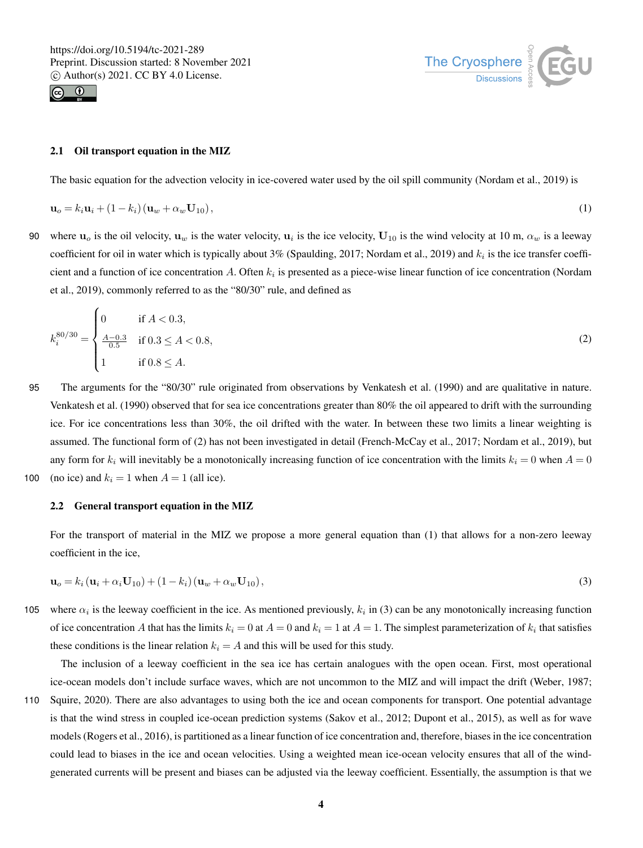



## 2.1 Oil transport equation in the MIZ

The basic equation for the advection velocity in ice-covered water used by the oil spill community (Nordam et al., 2019) is

$$
\mathbf{u}_o = k_i \mathbf{u}_i + (1 - k_i) (\mathbf{u}_w + \alpha_w \mathbf{U}_{10}), \qquad (1)
$$

90 where  $u_0$  is the oil velocity,  $u_w$  is the water velocity,  $u_i$  is the ice velocity,  $U_{10}$  is the wind velocity at 10 m,  $\alpha_w$  is a leeway coefficient for oil in water which is typically about 3% (Spaulding, 2017; Nordam et al., 2019) and  $k_i$  is the ice transfer coefficient and a function of ice concentration A. Often  $k_i$  is presented as a piece-wise linear function of ice concentration (Nordam et al., 2019), commonly referred to as the "80/30" rule, and defined as

$$
k_i^{80/30} = \begin{cases} 0 & \text{if } A < 0.3, \\ \frac{A - 0.3}{0.5} & \text{if } 0.3 \le A < 0.8, \\ 1 & \text{if } 0.8 \le A. \end{cases}
$$
 (2)

95 The arguments for the "80/30" rule originated from observations by Venkatesh et al. (1990) and are qualitative in nature. Venkatesh et al. (1990) observed that for sea ice concentrations greater than 80% the oil appeared to drift with the surrounding ice. For ice concentrations less than 30%, the oil drifted with the water. In between these two limits a linear weighting is assumed. The functional form of (2) has not been investigated in detail (French-McCay et al., 2017; Nordam et al., 2019), but any form for  $k_i$  will inevitably be a monotonically increasing function of ice concentration with the limits  $k_i = 0$  when  $A = 0$ 100 (no ice) and  $k_i = 1$  when  $A = 1$  (all ice).

#### 2.2 General transport equation in the MIZ

For the transport of material in the MIZ we propose a more general equation than (1) that allows for a non-zero leeway coefficient in the ice,

$$
\mathbf{u}_o = k_i \left( \mathbf{u}_i + \alpha_i \mathbf{U}_{10} \right) + \left( 1 - k_i \right) \left( \mathbf{u}_w + \alpha_w \mathbf{U}_{10} \right),\tag{3}
$$

105 where  $\alpha_i$  is the leeway coefficient in the ice. As mentioned previously,  $k_i$  in (3) can be any monotonically increasing function of ice concentration A that has the limits  $k_i = 0$  at  $A = 0$  and  $k_i = 1$  at  $A = 1$ . The simplest parameterization of  $k_i$  that satisfies these conditions is the linear relation  $k_i = A$  and this will be used for this study.

The inclusion of a leeway coefficient in the sea ice has certain analogues with the open ocean. First, most operational ice-ocean models don't include surface waves, which are not uncommon to the MIZ and will impact the drift (Weber, 1987;

110 Squire, 2020). There are also advantages to using both the ice and ocean components for transport. One potential advantage is that the wind stress in coupled ice-ocean prediction systems (Sakov et al., 2012; Dupont et al., 2015), as well as for wave models (Rogers et al., 2016), is partitioned as a linear function of ice concentration and, therefore, biases in the ice concentration could lead to biases in the ice and ocean velocities. Using a weighted mean ice-ocean velocity ensures that all of the windgenerated currents will be present and biases can be adjusted via the leeway coefficient. Essentially, the assumption is that we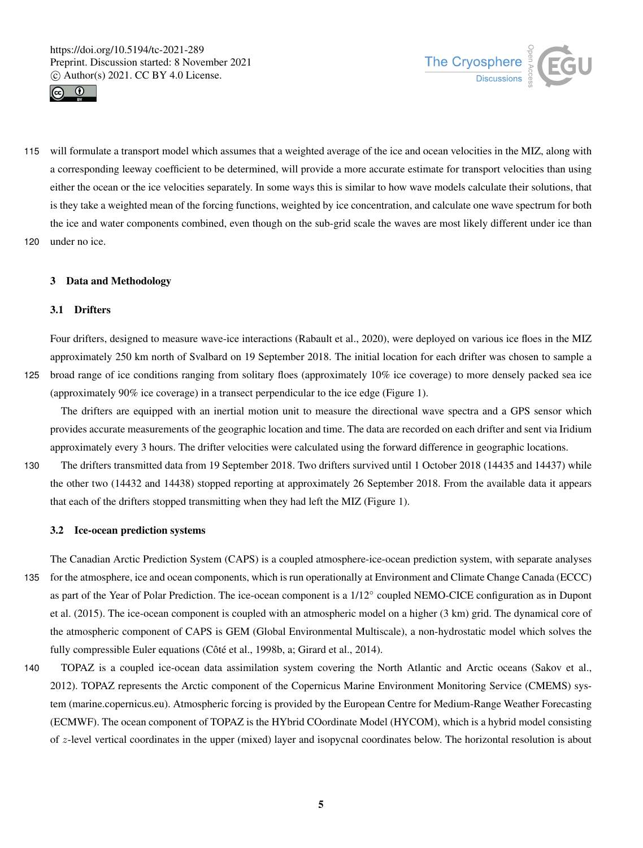



115 will formulate a transport model which assumes that a weighted average of the ice and ocean velocities in the MIZ, along with a corresponding leeway coefficient to be determined, will provide a more accurate estimate for transport velocities than using either the ocean or the ice velocities separately. In some ways this is similar to how wave models calculate their solutions, that is they take a weighted mean of the forcing functions, weighted by ice concentration, and calculate one wave spectrum for both the ice and water components combined, even though on the sub-grid scale the waves are most likely different under ice than 120 under no ice.

## 3 Data and Methodology

# 3.1 Drifters

Four drifters, designed to measure wave-ice interactions (Rabault et al., 2020), were deployed on various ice floes in the MIZ approximately 250 km north of Svalbard on 19 September 2018. The initial location for each drifter was chosen to sample a 125 broad range of ice conditions ranging from solitary floes (approximately 10% ice coverage) to more densely packed sea ice (approximately 90% ice coverage) in a transect perpendicular to the ice edge (Figure 1).

The drifters are equipped with an inertial motion unit to measure the directional wave spectra and a GPS sensor which provides accurate measurements of the geographic location and time. The data are recorded on each drifter and sent via Iridium approximately every 3 hours. The drifter velocities were calculated using the forward difference in geographic locations.

130 The drifters transmitted data from 19 September 2018. Two drifters survived until 1 October 2018 (14435 and 14437) while the other two (14432 and 14438) stopped reporting at approximately 26 September 2018. From the available data it appears that each of the drifters stopped transmitting when they had left the MIZ (Figure 1).

#### 3.2 Ice-ocean prediction systems

The Canadian Arctic Prediction System (CAPS) is a coupled atmosphere-ice-ocean prediction system, with separate analyses 135 for the atmosphere, ice and ocean components, which is run operationally at Environment and Climate Change Canada (ECCC) as part of the Year of Polar Prediction. The ice-ocean component is a 1/12◦ coupled NEMO-CICE configuration as in Dupont et al. (2015). The ice-ocean component is coupled with an atmospheric model on a higher (3 km) grid. The dynamical core of the atmospheric component of CAPS is GEM (Global Environmental Multiscale), a non-hydrostatic model which solves the fully compressible Euler equations (Côté et al., 1998b, a; Girard et al., 2014).

140 TOPAZ is a coupled ice-ocean data assimilation system covering the North Atlantic and Arctic oceans (Sakov et al., 2012). TOPAZ represents the Arctic component of the Copernicus Marine Environment Monitoring Service (CMEMS) system (marine.copernicus.eu). Atmospheric forcing is provided by the European Centre for Medium-Range Weather Forecasting (ECMWF). The ocean component of TOPAZ is the HYbrid COordinate Model (HYCOM), which is a hybrid model consisting of z-level vertical coordinates in the upper (mixed) layer and isopycnal coordinates below. The horizontal resolution is about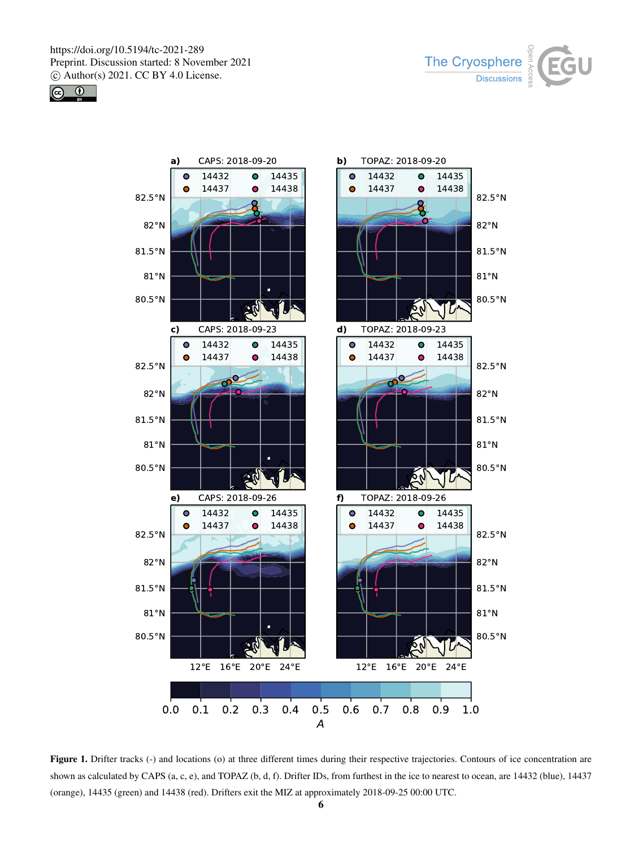





Figure 1. Drifter tracks (-) and locations (o) at three different times during their respective trajectories. Contours of ice concentration are shown as calculated by CAPS (a, c, e), and TOPAZ (b, d, f). Drifter IDs, from furthest in the ice to nearest to ocean, are 14432 (blue), 14437 (orange), 14435 (green) and 14438 (red). Drifters exit the MIZ at approximately 2018-09-25 00:00 UTC.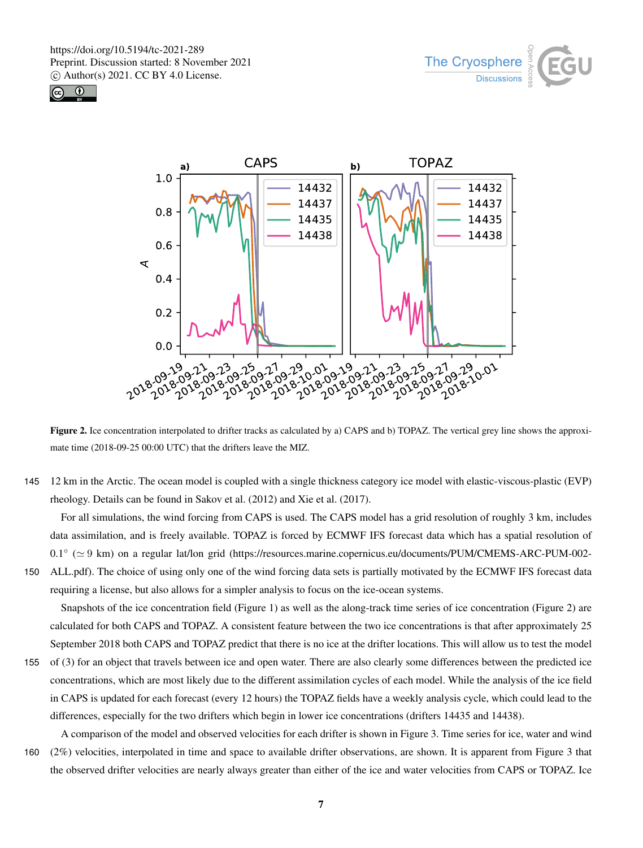





Figure 2. Ice concentration interpolated to drifter tracks as calculated by a) CAPS and b) TOPAZ. The vertical grey line shows the approximate time (2018-09-25 00:00 UTC) that the drifters leave the MIZ.

145 12 km in the Arctic. The ocean model is coupled with a single thickness category ice model with elastic-viscous-plastic (EVP) rheology. Details can be found in Sakov et al. (2012) and Xie et al. (2017).

For all simulations, the wind forcing from CAPS is used. The CAPS model has a grid resolution of roughly 3 km, includes data assimilation, and is freely available. TOPAZ is forced by ECMWF IFS forecast data which has a spatial resolution of 0.1<sup>°</sup> (≥ 9 km) on a regular lat/lon grid (https://resources.marine.copernicus.eu/documents/PUM/CMEMS-ARC-PUM-002-

150 ALL.pdf). The choice of using only one of the wind forcing data sets is partially motivated by the ECMWF IFS forecast data requiring a license, but also allows for a simpler analysis to focus on the ice-ocean systems.

Snapshots of the ice concentration field (Figure 1) as well as the along-track time series of ice concentration (Figure 2) are calculated for both CAPS and TOPAZ. A consistent feature between the two ice concentrations is that after approximately 25 September 2018 both CAPS and TOPAZ predict that there is no ice at the drifter locations. This will allow us to test the model

155 of (3) for an object that travels between ice and open water. There are also clearly some differences between the predicted ice concentrations, which are most likely due to the different assimilation cycles of each model. While the analysis of the ice field in CAPS is updated for each forecast (every 12 hours) the TOPAZ fields have a weekly analysis cycle, which could lead to the differences, especially for the two drifters which begin in lower ice concentrations (drifters 14435 and 14438).

A comparison of the model and observed velocities for each drifter is shown in Figure 3. Time series for ice, water and wind 160 (2%) velocities, interpolated in time and space to available drifter observations, are shown. It is apparent from Figure 3 that the observed drifter velocities are nearly always greater than either of the ice and water velocities from CAPS or TOPAZ. Ice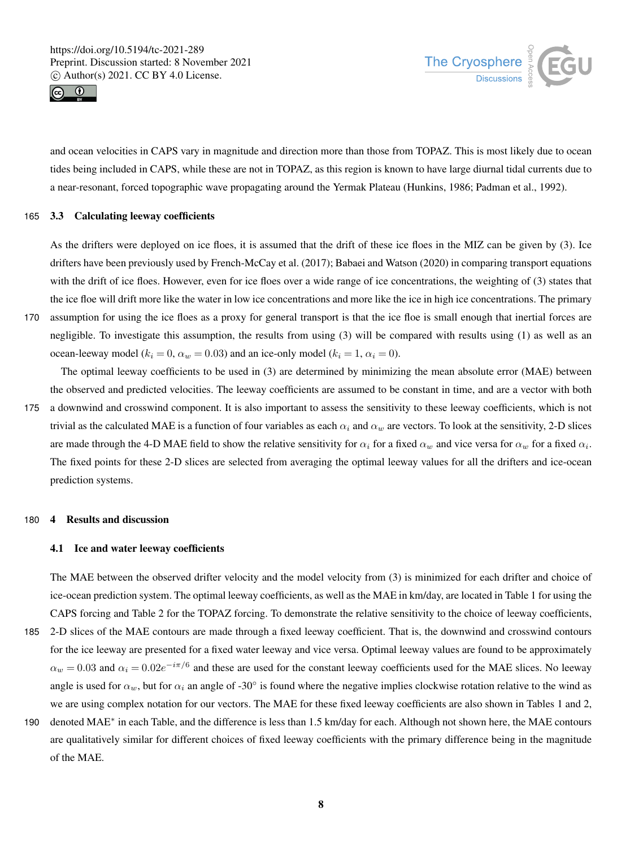



and ocean velocities in CAPS vary in magnitude and direction more than those from TOPAZ. This is most likely due to ocean tides being included in CAPS, while these are not in TOPAZ, as this region is known to have large diurnal tidal currents due to a near-resonant, forced topographic wave propagating around the Yermak Plateau (Hunkins, 1986; Padman et al., 1992).

# 165 3.3 Calculating leeway coefficients

As the drifters were deployed on ice floes, it is assumed that the drift of these ice floes in the MIZ can be given by (3). Ice drifters have been previously used by French-McCay et al. (2017); Babaei and Watson (2020) in comparing transport equations with the drift of ice floes. However, even for ice floes over a wide range of ice concentrations, the weighting of (3) states that the ice floe will drift more like the water in low ice concentrations and more like the ice in high ice concentrations. The primary

170 assumption for using the ice floes as a proxy for general transport is that the ice floe is small enough that inertial forces are negligible. To investigate this assumption, the results from using (3) will be compared with results using (1) as well as an ocean-leeway model ( $k_i = 0$ ,  $\alpha_w = 0.03$ ) and an ice-only model ( $k_i = 1$ ,  $\alpha_i = 0$ ).

The optimal leeway coefficients to be used in (3) are determined by minimizing the mean absolute error (MAE) between the observed and predicted velocities. The leeway coefficients are assumed to be constant in time, and are a vector with both

175 a downwind and crosswind component. It is also important to assess the sensitivity to these leeway coefficients, which is not trivial as the calculated MAE is a function of four variables as each  $\alpha_i$  and  $\alpha_w$  are vectors. To look at the sensitivity, 2-D slices are made through the 4-D MAE field to show the relative sensitivity for  $\alpha_i$  for a fixed  $\alpha_w$  and vice versa for  $\alpha_w$  for a fixed  $\alpha_i$ . The fixed points for these 2-D slices are selected from averaging the optimal leeway values for all the drifters and ice-ocean prediction systems.

## 180 4 Results and discussion

# 4.1 Ice and water leeway coefficients

The MAE between the observed drifter velocity and the model velocity from (3) is minimized for each drifter and choice of ice-ocean prediction system. The optimal leeway coefficients, as well as the MAE in km/day, are located in Table 1 for using the CAPS forcing and Table 2 for the TOPAZ forcing. To demonstrate the relative sensitivity to the choice of leeway coefficients, 185 2-D slices of the MAE contours are made through a fixed leeway coefficient. That is, the downwind and crosswind contours

- for the ice leeway are presented for a fixed water leeway and vice versa. Optimal leeway values are found to be approximately  $\alpha_w = 0.03$  and  $\alpha_i = 0.02e^{-i\pi/6}$  and these are used for the constant leeway coefficients used for the MAE slices. No leeway angle is used for  $\alpha_w$ , but for  $\alpha_i$  an angle of -30° is found where the negative implies clockwise rotation relative to the wind as we are using complex notation for our vectors. The MAE for these fixed leeway coefficients are also shown in Tables 1 and 2,
- 190 denoted MAE<sup>∗</sup> in each Table, and the difference is less than 1.5 km/day for each. Although not shown here, the MAE contours are qualitatively similar for different choices of fixed leeway coefficients with the primary difference being in the magnitude of the MAE.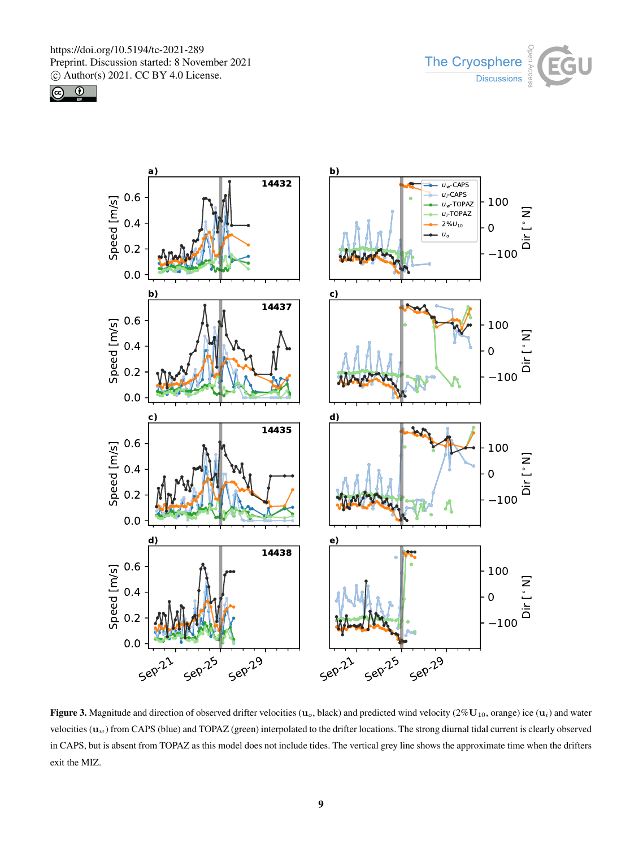





Figure 3. Magnitude and direction of observed drifter velocities ( $\mathbf{u}_o$ , black) and predicted wind velocity (2%U<sub>10</sub>, orange) ice ( $\mathbf{u}_i$ ) and water velocities  $(\mathbf{u}_w)$  from CAPS (blue) and TOPAZ (green) interpolated to the drifter locations. The strong diurnal tidal current is clearly observed in CAPS, but is absent from TOPAZ as this model does not include tides. The vertical grey line shows the approximate time when the drifters exit the MIZ.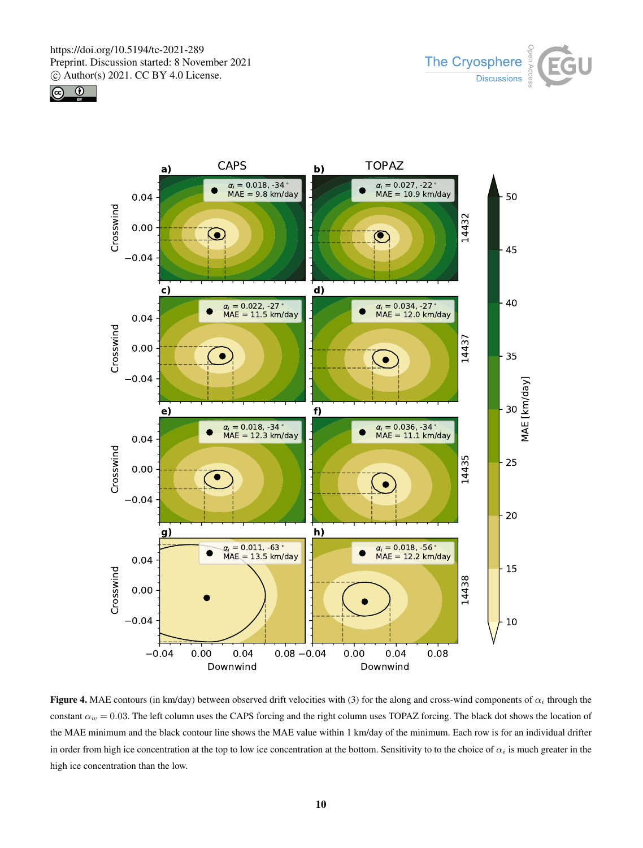





Figure 4. MAE contours (in km/day) between observed drift velocities with (3) for the along and cross-wind components of  $\alpha_i$  through the constant  $\alpha_w = 0.03$ . The left column uses the CAPS forcing and the right column uses TOPAZ forcing. The black dot shows the location of the MAE minimum and the black contour line shows the MAE value within 1 km/day of the minimum. Each row is for an individual drifter in order from high ice concentration at the top to low ice concentration at the bottom. Sensitivity to to the choice of  $\alpha_i$  is much greater in the high ice concentration than the low.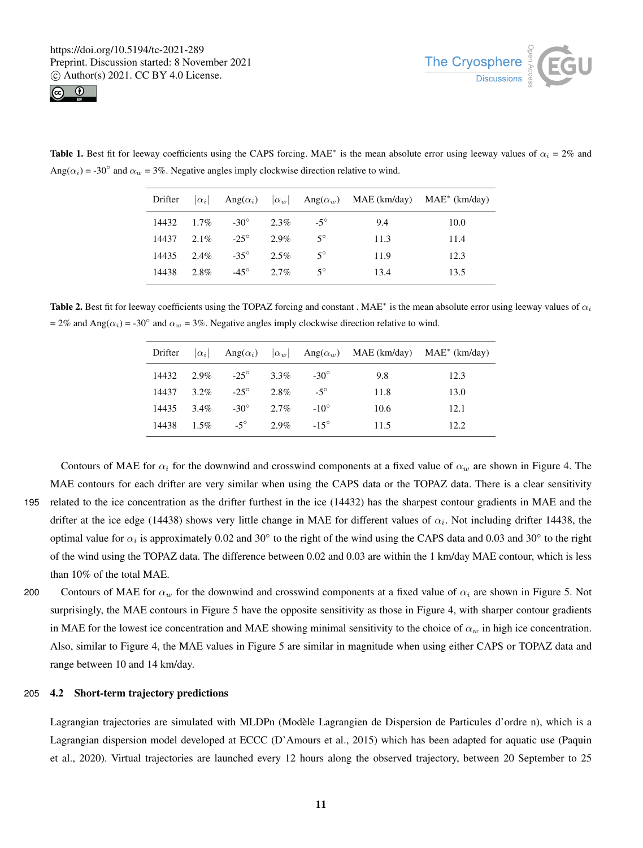



**Table 1.** Best fit for leeway coefficients using the CAPS forcing. MAE<sup>∗</sup> is the mean absolute error using leeway values of  $\alpha_i = 2\%$  and Ang( $\alpha_i$ ) = -30° and  $\alpha_w$  = 3%. Negative angles imply clockwise direction relative to wind.

| Drifter |         |                               |         |             |      | $ \alpha_i $ Ang $(\alpha_i)$ $ \alpha_w $ Ang $(\alpha_w)$ MAE (km/day) MAE <sup>*</sup> (km/day) |
|---------|---------|-------------------------------|---------|-------------|------|----------------------------------------------------------------------------------------------------|
|         |         | $14432 \t1.7\% \t-30^{\circ}$ | $2.3\%$ | $-5^\circ$  | 9.4  | 10.0                                                                                               |
| 14437   |         | $2.1\%$ -25 <sup>°</sup>      | $2.9\%$ | $5^{\circ}$ | 11.3 | 11.4                                                                                               |
| 14435   |         | $2.4\%$ $-35^{\circ}$         | $2.5\%$ | $5^{\circ}$ | 11.9 | 12.3                                                                                               |
| 14438   | $2.8\%$ | $-45^\circ$                   | $2.7\%$ | $5^{\circ}$ | 13.4 | 13.5                                                                                               |

**Table 2.** Best fit for leeway coefficients using the TOPAZ forcing and constant . MAE<sup>∗</sup> is the mean absolute error using leeway values of  $\alpha_i$  $= 2\%$  and Ang( $\alpha_i$ ) = -30° and  $\alpha_w$  = 3%. Negative angles imply clockwise direction relative to wind.

| Drifter | $ \alpha_i $ |             |         |             |      | Ang $(\alpha_i)$ $ \alpha_w $ Ang $(\alpha_w)$ MAE (km/day) MAE <sup>*</sup> (km/day) |
|---------|--------------|-------------|---------|-------------|------|---------------------------------------------------------------------------------------|
| 14432   | $2.9\%$      | $-25^\circ$ | $3.3\%$ | $-30^\circ$ | 9.8  | 12.3                                                                                  |
| 14437   | $3.2\%$      | $-25^\circ$ | 2.8%    | $-5^\circ$  | 11.8 | 13.0                                                                                  |
| 14435   | $3.4\%$      | $-30^\circ$ | $2.7\%$ | $-10^\circ$ | 10.6 | 12.1                                                                                  |
| 14438   | $1.5\%$      | $-5^\circ$  | $2.9\%$ | $-15^\circ$ | 11.5 | 12.2                                                                                  |

Contours of MAE for  $\alpha_i$  for the downwind and crosswind components at a fixed value of  $\alpha_w$  are shown in Figure 4. The MAE contours for each drifter are very similar when using the CAPS data or the TOPAZ data. There is a clear sensitivity 195 related to the ice concentration as the drifter furthest in the ice (14432) has the sharpest contour gradients in MAE and the drifter at the ice edge (14438) shows very little change in MAE for different values of  $\alpha_i$ . Not including drifter 14438, the optimal value for  $\alpha_i$  is approximately 0.02 and 30 $\degree$  to the right of the wind using the CAPS data and 0.03 and 30 $\degree$  to the right of the wind using the TOPAZ data. The difference between 0.02 and 0.03 are within the 1 km/day MAE contour, which is less than 10% of the total MAE.

200 Contours of MAE for  $\alpha_w$  for the downwind and crosswind components at a fixed value of  $\alpha_i$  are shown in Figure 5. Not surprisingly, the MAE contours in Figure 5 have the opposite sensitivity as those in Figure 4, with sharper contour gradients in MAE for the lowest ice concentration and MAE showing minimal sensitivity to the choice of  $\alpha_w$  in high ice concentration. Also, similar to Figure 4, the MAE values in Figure 5 are similar in magnitude when using either CAPS or TOPAZ data and range between 10 and 14 km/day.

# 205 4.2 Short-term trajectory predictions

Lagrangian trajectories are simulated with MLDPn (Modèle Lagrangien de Dispersion de Particules d'ordre n), which is a Lagrangian dispersion model developed at ECCC (D'Amours et al., 2015) which has been adapted for aquatic use (Paquin et al., 2020). Virtual trajectories are launched every 12 hours along the observed trajectory, between 20 September to 25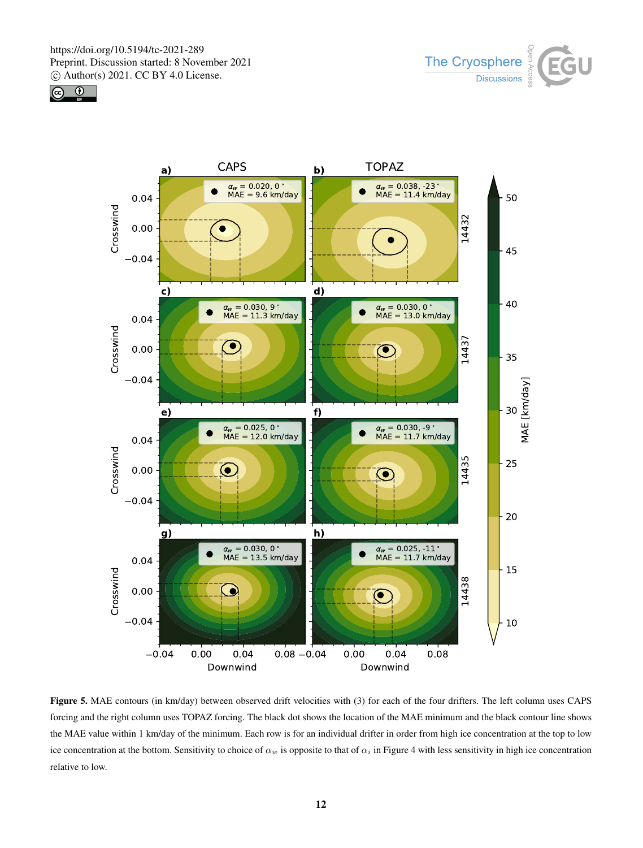





Figure 5. MAE contours (in km/day) between observed drift velocities with (3) for each of the four drifters. The left column uses CAPS forcing and the right column uses TOPAZ forcing. The black dot shows the location of the MAE minimum and the black contour line shows the MAE value within 1 km/day of the minimum. Each row is for an individual drifter in order from high ice concentration at the top to low ice concentration at the bottom. Sensitivity to choice of  $\alpha_w$  is opposite to that of  $\alpha_i$  in Figure 4 with less sensitivity in high ice concentration relative to low.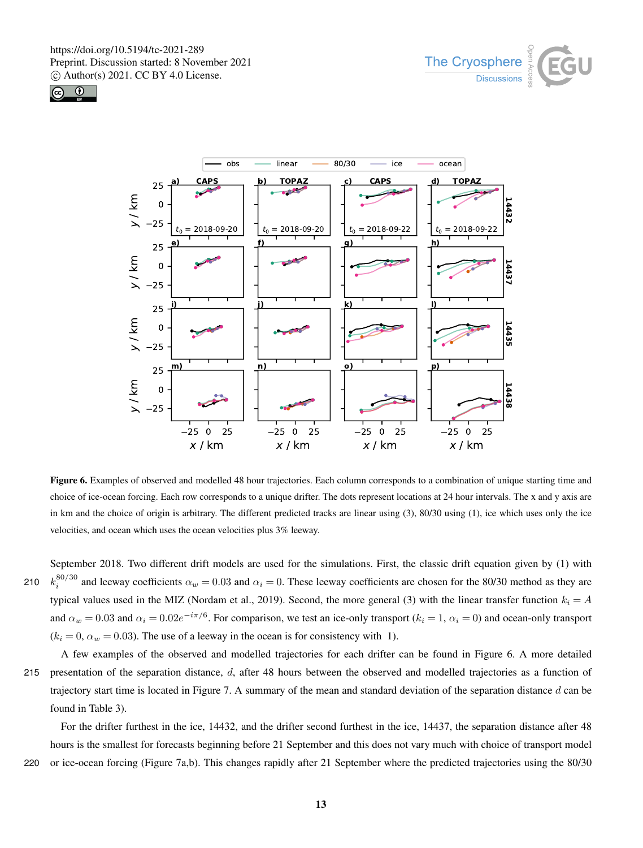





Figure 6. Examples of observed and modelled 48 hour trajectories. Each column corresponds to a combination of unique starting time and choice of ice-ocean forcing. Each row corresponds to a unique drifter. The dots represent locations at 24 hour intervals. The x and y axis are in km and the choice of origin is arbitrary. The different predicted tracks are linear using (3), 80/30 using (1), ice which uses only the ice velocities, and ocean which uses the ocean velocities plus 3% leeway.

September 2018. Two different drift models are used for the simulations. First, the classic drift equation given by (1) with 210  $k_i^{80/30}$  and leeway coefficients  $\alpha_w = 0.03$  and  $\alpha_i = 0$ . These leeway coefficients are chosen for the 80/30 method as they are typical values used in the MIZ (Nordam et al., 2019). Second, the more general (3) with the linear transfer function  $k_i = A$ and  $\alpha_w = 0.03$  and  $\alpha_i = 0.02e^{-i\pi/6}$ . For comparison, we test an ice-only transport ( $k_i = 1$ ,  $\alpha_i = 0$ ) and ocean-only transport  $(k<sub>i</sub> = 0, \alpha<sub>w</sub> = 0.03)$ . The use of a leeway in the ocean is for consistency with 1).

A few examples of the observed and modelled trajectories for each drifter can be found in Figure 6. A more detailed 215 presentation of the separation distance,  $d$ , after 48 hours between the observed and modelled trajectories as a function of trajectory start time is located in Figure 7. A summary of the mean and standard deviation of the separation distance d can be found in Table 3).

For the drifter furthest in the ice, 14432, and the drifter second furthest in the ice, 14437, the separation distance after 48 hours is the smallest for forecasts beginning before 21 September and this does not vary much with choice of transport model 220 or ice-ocean forcing (Figure 7a,b). This changes rapidly after 21 September where the predicted trajectories using the 80/30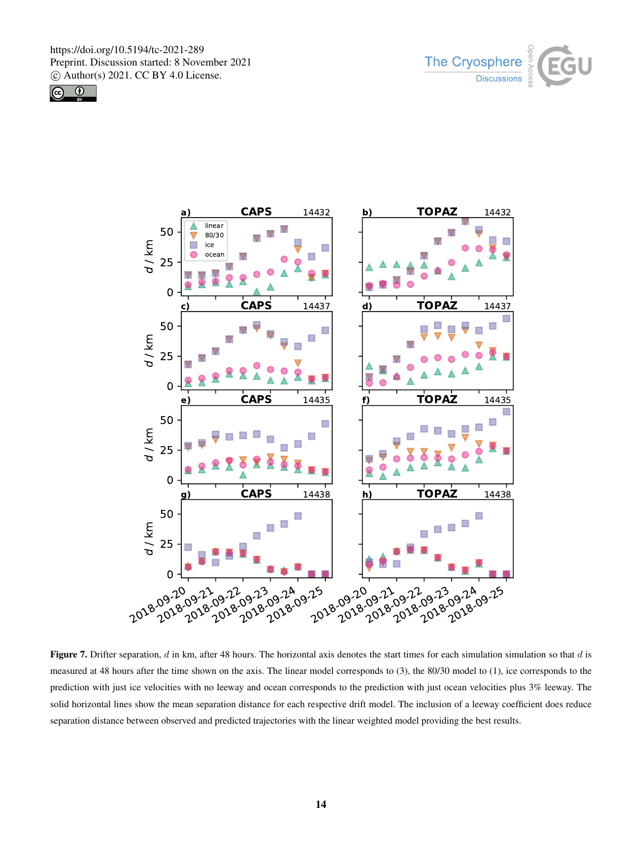





Figure 7. Drifter separation,  $d$  in km, after 48 hours. The horizontal axis denotes the start times for each simulation simulation so that  $d$  is measured at 48 hours after the time shown on the axis. The linear model corresponds to (3), the 80/30 model to (1), ice corresponds to the prediction with just ice velocities with no leeway and ocean corresponds to the prediction with just ocean velocities plus 3% leeway. The solid horizontal lines show the mean separation distance for each respective drift model. The inclusion of a leeway coefficient does reduce separation distance between observed and predicted trajectories with the linear weighted model providing the best results.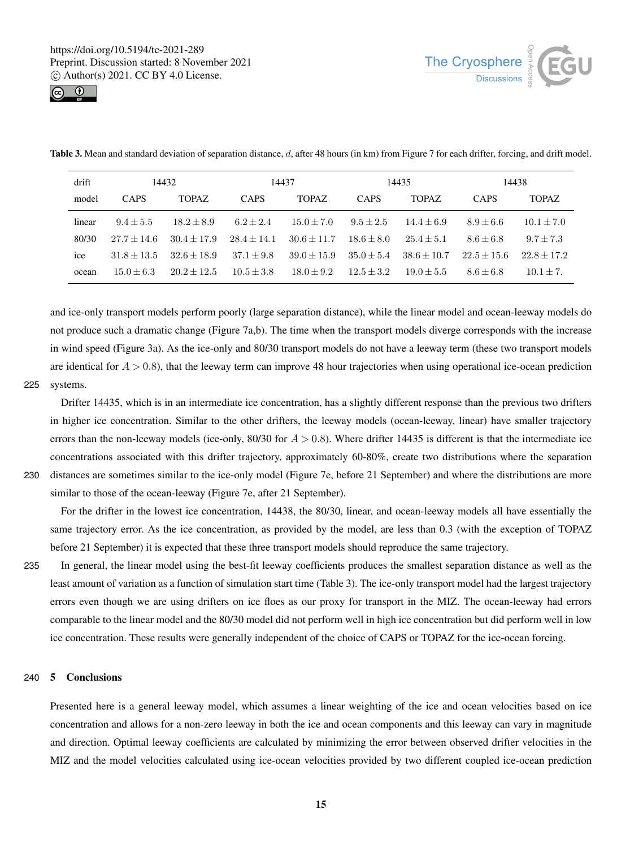



| <b>Table 3.</b> Mean and standard deviation of separation distance, d, after 48 hours (in km) from Figure 7 for each drifter, forcing, and drift model. |  |  |  |
|---------------------------------------------------------------------------------------------------------------------------------------------------------|--|--|--|
|                                                                                                                                                         |  |  |  |

| drift           | 14432         |               | 14437         |               | 14435        |               | 14438         |               |
|-----------------|---------------|---------------|---------------|---------------|--------------|---------------|---------------|---------------|
| model           | <b>CAPS</b>   | <b>TOPAZ</b>  | <b>CAPS</b>   | <b>TOPAZ</b>  | <b>CAPS</b>  | <b>TOPAZ</b>  | <b>CAPS</b>   | <b>TOPAZ</b>  |
| linear          | $9.4 + 5.5$   | $18.2 + 8.9$  | $6.2 + 2.4$   | $15.0 + 7.0$  | $9.5 + 2.5$  | $14.4 + 6.9$  | $8.9 + 6.6$   | $10.1 + 7.0$  |
| 80/30           | $27.7 + 14.6$ | $30.4 + 17.9$ | $28.4 + 14.1$ | $30.6 + 11.7$ | $18.6 + 8.0$ | $25.4 + 5.1$  | $8.6 + 6.8$   | $9.7 + 7.3$   |
| <sub>1</sub> ce | $31.8 + 13.5$ | $32.6 + 18.9$ | $37.1 + 9.8$  | $39.0 + 15.9$ | $35.0 + 5.4$ | $38.6 + 10.7$ | $22.5 + 15.6$ | $22.8 + 17.2$ |
| ocean           | $15.0 + 6.3$  | $20.2 + 12.5$ | $10.5 + 3.8$  | $18.0 + 9.2$  | $12.5 + 3.2$ | $19.0 + 5.5$  | $8.6 + 6.8$   | $10.1 + 7.$   |

and ice-only transport models perform poorly (large separation distance), while the linear model and ocean-leeway models do not produce such a dramatic change (Figure 7a,b). The time when the transport models diverge corresponds with the increase in wind speed (Figure 3a). As the ice-only and 80/30 transport models do not have a leeway term (these two transport models are identical for  $A > 0.8$ ), that the leeway term can improve 48 hour trajectories when using operational ice-ocean prediction 225 systems.

Drifter 14435, which is in an intermediate ice concentration, has a slightly different response than the previous two drifters in higher ice concentration. Similar to the other drifters, the leeway models (ocean-leeway, linear) have smaller trajectory errors than the non-leeway models (ice-only, 80/30 for  $A > 0.8$ ). Where drifter 14435 is different is that the intermediate ice concentrations associated with this drifter trajectory, approximately 60-80%, create two distributions where the separation 230 distances are sometimes similar to the ice-only model (Figure 7e, before 21 September) and where the distributions are more similar to those of the ocean-leeway (Figure 7e, after 21 September).

For the drifter in the lowest ice concentration, 14438, the 80/30, linear, and ocean-leeway models all have essentially the same trajectory error. As the ice concentration, as provided by the model, are less than 0.3 (with the exception of TOPAZ before 21 September) it is expected that these three transport models should reproduce the same trajectory.

235 In general, the linear model using the best-fit leeway coefficients produces the smallest separation distance as well as the least amount of variation as a function of simulation start time (Table 3). The ice-only transport model had the largest trajectory errors even though we are using drifters on ice floes as our proxy for transport in the MIZ. The ocean-leeway had errors comparable to the linear model and the 80/30 model did not perform well in high ice concentration but did perform well in low ice concentration. These results were generally independent of the choice of CAPS or TOPAZ for the ice-ocean forcing.

# 240 5 Conclusions

Presented here is a general leeway model, which assumes a linear weighting of the ice and ocean velocities based on ice concentration and allows for a non-zero leeway in both the ice and ocean components and this leeway can vary in magnitude and direction. Optimal leeway coefficients are calculated by minimizing the error between observed drifter velocities in the MIZ and the model velocities calculated using ice-ocean velocities provided by two different coupled ice-ocean prediction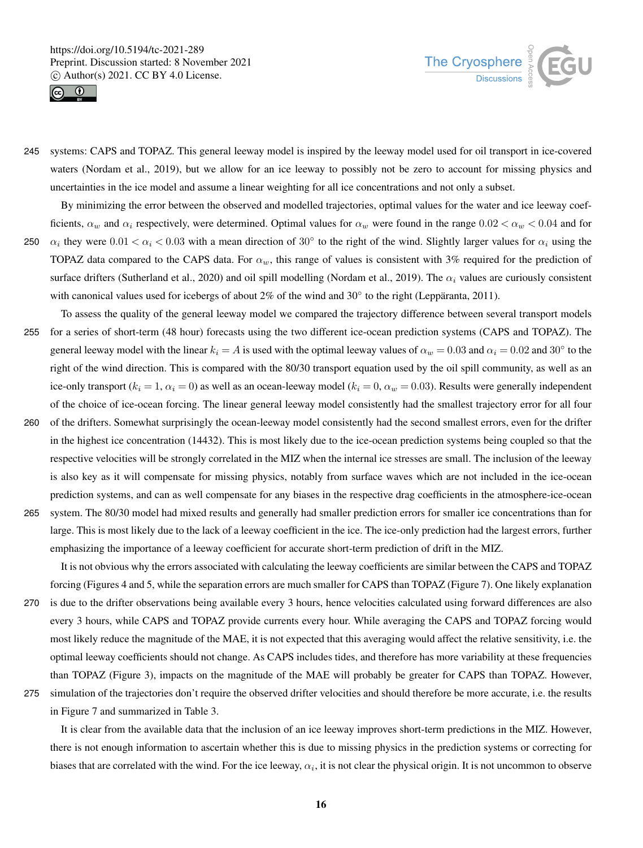



245 systems: CAPS and TOPAZ. This general leeway model is inspired by the leeway model used for oil transport in ice-covered waters (Nordam et al., 2019), but we allow for an ice leeway to possibly not be zero to account for missing physics and uncertainties in the ice model and assume a linear weighting for all ice concentrations and not only a subset.

By minimizing the error between the observed and modelled trajectories, optimal values for the water and ice leeway coefficients,  $\alpha_w$  and  $\alpha_i$  respectively, were determined. Optimal values for  $\alpha_w$  were found in the range  $0.02 < \alpha_w < 0.04$  and for 250  $\alpha_i$  they were  $0.01 < \alpha_i < 0.03$  with a mean direction of 30 $\degree$  to the right of the wind. Slightly larger values for  $\alpha_i$  using the TOPAZ data compared to the CAPS data. For  $\alpha_w$ , this range of values is consistent with 3% required for the prediction of surface drifters (Sutherland et al., 2020) and oil spill modelling (Nordam et al., 2019). The  $\alpha_i$  values are curiously consistent with canonical values used for icebergs of about  $2\%$  of the wind and  $30\degree$  to the right (Leppäranta, 2011).

- To assess the quality of the general leeway model we compared the trajectory difference between several transport models 255 for a series of short-term (48 hour) forecasts using the two different ice-ocean prediction systems (CAPS and TOPAZ). The general leeway model with the linear  $k_i = A$  is used with the optimal leeway values of  $\alpha_w = 0.03$  and  $\alpha_i = 0.02$  and  $30^\circ$  to the right of the wind direction. This is compared with the 80/30 transport equation used by the oil spill community, as well as an ice-only transport ( $k_i = 1$ ,  $\alpha_i = 0$ ) as well as an ocean-leeway model ( $k_i = 0$ ,  $\alpha_w = 0.03$ ). Results were generally independent of the choice of ice-ocean forcing. The linear general leeway model consistently had the smallest trajectory error for all four 260 of the drifters. Somewhat surprisingly the ocean-leeway model consistently had the second smallest errors, even for the drifter in the highest ice concentration (14432). This is most likely due to the ice-ocean prediction systems being coupled so that the respective velocities will be strongly correlated in the MIZ when the internal ice stresses are small. The inclusion of the leeway
- is also key as it will compensate for missing physics, notably from surface waves which are not included in the ice-ocean prediction systems, and can as well compensate for any biases in the respective drag coefficients in the atmosphere-ice-ocean 265 system. The 80/30 model had mixed results and generally had smaller prediction errors for smaller ice concentrations than for large. This is most likely due to the lack of a leeway coefficient in the ice. The ice-only prediction had the largest errors, further emphasizing the importance of a leeway coefficient for accurate short-term prediction of drift in the MIZ.

It is not obvious why the errors associated with calculating the leeway coefficients are similar between the CAPS and TOPAZ forcing (Figures 4 and 5, while the separation errors are much smaller for CAPS than TOPAZ (Figure 7). One likely explanation

- 270 is due to the drifter observations being available every 3 hours, hence velocities calculated using forward differences are also every 3 hours, while CAPS and TOPAZ provide currents every hour. While averaging the CAPS and TOPAZ forcing would most likely reduce the magnitude of the MAE, it is not expected that this averaging would affect the relative sensitivity, i.e. the optimal leeway coefficients should not change. As CAPS includes tides, and therefore has more variability at these frequencies than TOPAZ (Figure 3), impacts on the magnitude of the MAE will probably be greater for CAPS than TOPAZ. However,
- 275 simulation of the trajectories don't require the observed drifter velocities and should therefore be more accurate, i.e. the results

in Figure 7 and summarized in Table 3.

It is clear from the available data that the inclusion of an ice leeway improves short-term predictions in the MIZ. However, there is not enough information to ascertain whether this is due to missing physics in the prediction systems or correcting for biases that are correlated with the wind. For the ice leeway,  $\alpha_i$ , it is not clear the physical origin. It is not uncommon to observe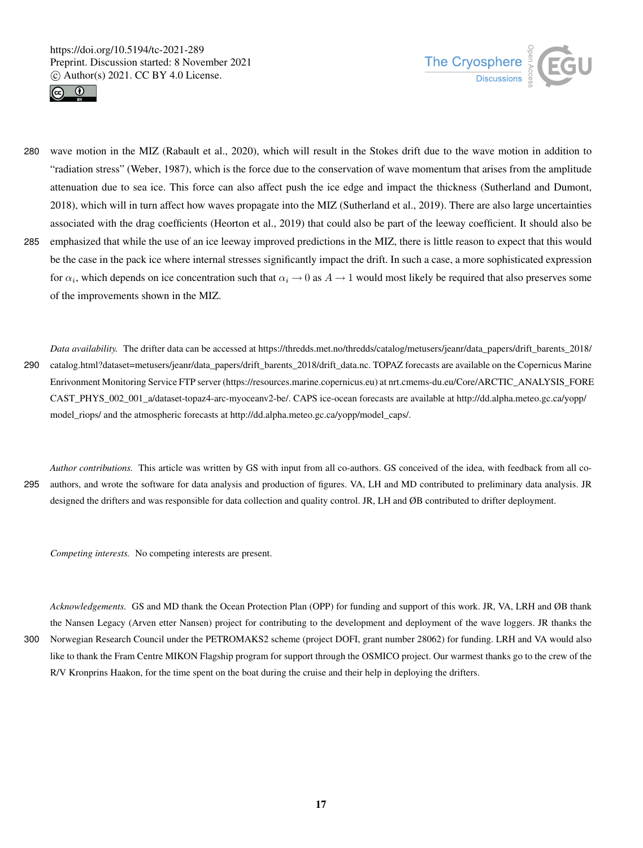



280 wave motion in the MIZ (Rabault et al., 2020), which will result in the Stokes drift due to the wave motion in addition to "radiation stress" (Weber, 1987), which is the force due to the conservation of wave momentum that arises from the amplitude attenuation due to sea ice. This force can also affect push the ice edge and impact the thickness (Sutherland and Dumont, 2018), which will in turn affect how waves propagate into the MIZ (Sutherland et al., 2019). There are also large uncertainties associated with the drag coefficients (Heorton et al., 2019) that could also be part of the leeway coefficient. It should also be 285 emphasized that while the use of an ice leeway improved predictions in the MIZ, there is little reason to expect that this would be the case in the pack ice where internal stresses significantly impact the drift. In such a case, a more sophisticated expression for  $\alpha_i$ , which depends on ice concentration such that  $\alpha_i \to 0$  as  $A \to 1$  would most likely be required that also preserves some

of the improvements shown in the MIZ.

*Data availability.* The drifter data can be accessed at https://thredds.met.no/thredds/catalog/metusers/jeanr/data\_papers/drift\_barents\_2018/ 290 catalog.html?dataset=metusers/jeanr/data\_papers/drift\_barents\_2018/drift\_data.nc. TOPAZ forecasts are available on the Copernicus Marine Enrivonment Monitoring Service FTP server (https://resources.marine.copernicus.eu) at nrt.cmems-du.eu/Core/ARCTIC\_ANALYSIS\_FORE CAST\_PHYS\_002\_001\_a/dataset-topaz4-arc-myoceanv2-be/. CAPS ice-ocean forecasts are available at http://dd.alpha.meteo.gc.ca/yopp/ model\_riops/ and the atmospheric forecasts at http://dd.alpha.meteo.gc.ca/yopp/model\_caps/.

*Author contributions.* This article was written by GS with input from all co-authors. GS conceived of the idea, with feedback from all co-295 authors, and wrote the software for data analysis and production of figures. VA, LH and MD contributed to preliminary data analysis. JR designed the drifters and was responsible for data collection and quality control. JR, LH and ØB contributed to drifter deployment.

*Competing interests.* No competing interests are present.

*Acknowledgements.* GS and MD thank the Ocean Protection Plan (OPP) for funding and support of this work. JR, VA, LRH and ØB thank the Nansen Legacy (Arven etter Nansen) project for contributing to the development and deployment of the wave loggers. JR thanks the 300 Norwegian Research Council under the PETROMAKS2 scheme (project DOFI, grant number 28062) for funding. LRH and VA would also like to thank the Fram Centre MIKON Flagship program for support through the OSMICO project. Our warmest thanks go to the crew of the R/V Kronprins Haakon, for the time spent on the boat during the cruise and their help in deploying the drifters.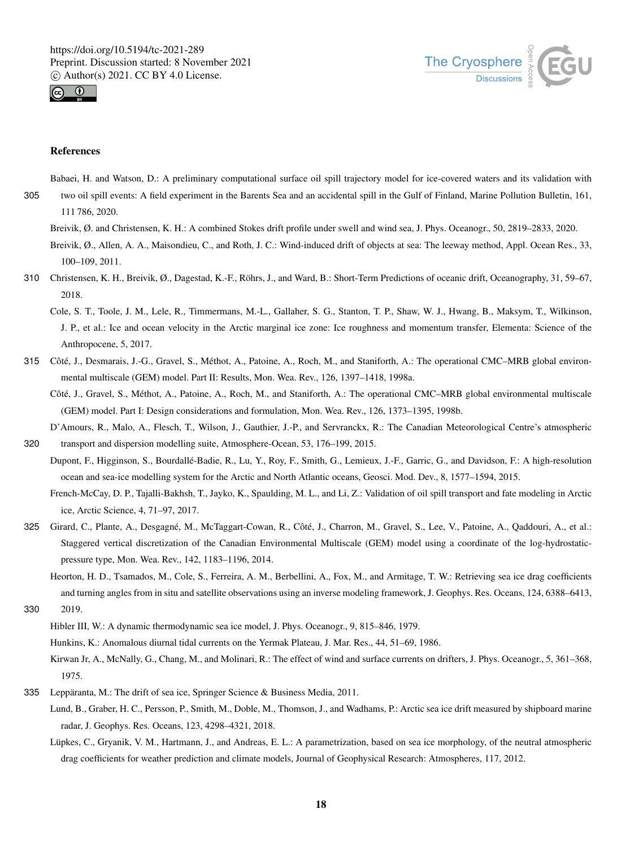



# References

Babaei, H. and Watson, D.: A preliminary computational surface oil spill trajectory model for ice-covered waters and its validation with

305 two oil spill events: A field experiment in the Barents Sea and an accidental spill in the Gulf of Finland, Marine Pollution Bulletin, 161,

111 786, 2020.

Breivik, Ø. and Christensen, K. H.: A combined Stokes drift profile under swell and wind sea, J. Phys. Oceanogr., 50, 2819–2833, 2020.

Breivik, Ø., Allen, A. A., Maisondieu, C., and Roth, J. C.: Wind-induced drift of objects at sea: The leeway method, Appl. Ocean Res., 33, 100–109, 2011.

- 310 Christensen, K. H., Breivik, Ø., Dagestad, K.-F., Röhrs, J., and Ward, B.: Short-Term Predictions of oceanic drift, Oceanography, 31, 59–67, 2018.
	- Cole, S. T., Toole, J. M., Lele, R., Timmermans, M.-L., Gallaher, S. G., Stanton, T. P., Shaw, W. J., Hwang, B., Maksym, T., Wilkinson, J. P., et al.: Ice and ocean velocity in the Arctic marginal ice zone: Ice roughness and momentum transfer, Elementa: Science of the Anthropocene, 5, 2017.
- 315 Côté, J., Desmarais, J.-G., Gravel, S., Méthot, A., Patoine, A., Roch, M., and Staniforth, A.: The operational CMC–MRB global environmental multiscale (GEM) model. Part II: Results, Mon. Wea. Rev., 126, 1397–1418, 1998a.
	- Côté, J., Gravel, S., Méthot, A., Patoine, A., Roch, M., and Staniforth, A.: The operational CMC–MRB global environmental multiscale (GEM) model. Part I: Design considerations and formulation, Mon. Wea. Rev., 126, 1373–1395, 1998b.
- D'Amours, R., Malo, A., Flesch, T., Wilson, J., Gauthier, J.-P., and Servranckx, R.: The Canadian Meteorological Centre's atmospheric 320 transport and dispersion modelling suite, Atmosphere-Ocean, 53, 176–199, 2015.
	- Dupont, F., Higginson, S., Bourdallé-Badie, R., Lu, Y., Roy, F., Smith, G., Lemieux, J.-F., Garric, G., and Davidson, F.: A high-resolution ocean and sea-ice modelling system for the Arctic and North Atlantic oceans, Geosci. Mod. Dev., 8, 1577–1594, 2015.

French-McCay, D. P., Tajalli-Bakhsh, T., Jayko, K., Spaulding, M. L., and Li, Z.: Validation of oil spill transport and fate modeling in Arctic ice, Arctic Science, 4, 71–97, 2017.

- 325 Girard, C., Plante, A., Desgagné, M., McTaggart-Cowan, R., Côté, J., Charron, M., Gravel, S., Lee, V., Patoine, A., Qaddouri, A., et al.: Staggered vertical discretization of the Canadian Environmental Multiscale (GEM) model using a coordinate of the log-hydrostaticpressure type, Mon. Wea. Rev., 142, 1183–1196, 2014.
- Heorton, H. D., Tsamados, M., Cole, S., Ferreira, A. M., Berbellini, A., Fox, M., and Armitage, T. W.: Retrieving sea ice drag coefficients and turning angles from in situ and satellite observations using an inverse modeling framework, J. Geophys. Res. Oceans, 124, 6388–6413, 330 2019.
	- Hibler III, W.: A dynamic thermodynamic sea ice model, J. Phys. Oceanogr., 9, 815–846, 1979.

Hunkins, K.: Anomalous diurnal tidal currents on the Yermak Plateau, J. Mar. Res., 44, 51–69, 1986.

- Kirwan Jr, A., McNally, G., Chang, M., and Molinari, R.: The effect of wind and surface currents on drifters, J. Phys. Oceanogr., 5, 361–368, 1975.
- 335 Leppäranta, M.: The drift of sea ice, Springer Science & Business Media, 2011.
	- Lund, B., Graber, H. C., Persson, P., Smith, M., Doble, M., Thomson, J., and Wadhams, P.: Arctic sea ice drift measured by shipboard marine radar, J. Geophys. Res. Oceans, 123, 4298–4321, 2018.
	- Lüpkes, C., Gryanik, V. M., Hartmann, J., and Andreas, E. L.: A parametrization, based on sea ice morphology, of the neutral atmospheric drag coefficients for weather prediction and climate models, Journal of Geophysical Research: Atmospheres, 117, 2012.